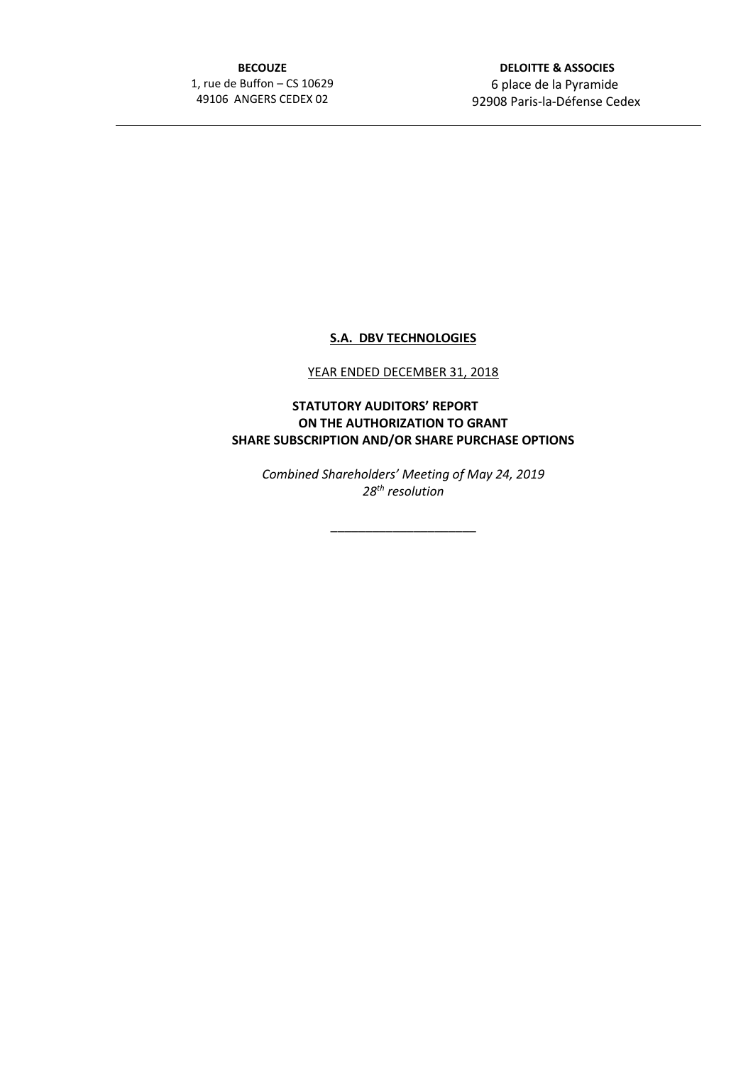**BECOUZE** 1, rue de Buffon – CS 10629 49106 ANGERS CEDEX 02

 **DELOITTE & ASSOCIES** 6 place de la Pyramide 92908 Paris-la-Défense Cedex

## **S.A. DBV TECHNOLOGIES**

## YEAR ENDED DECEMBER 31, 2018

## **STATUTORY AUDITORS' REPORT ON THE AUTHORIZATION TO GRANT SHARE SUBSCRIPTION AND/OR SHARE PURCHASE OPTIONS**

*Combined Shareholders' Meeting of May 24, 2019 28th resolution*

\_\_\_\_\_\_\_\_\_\_\_\_\_\_\_\_\_\_\_\_\_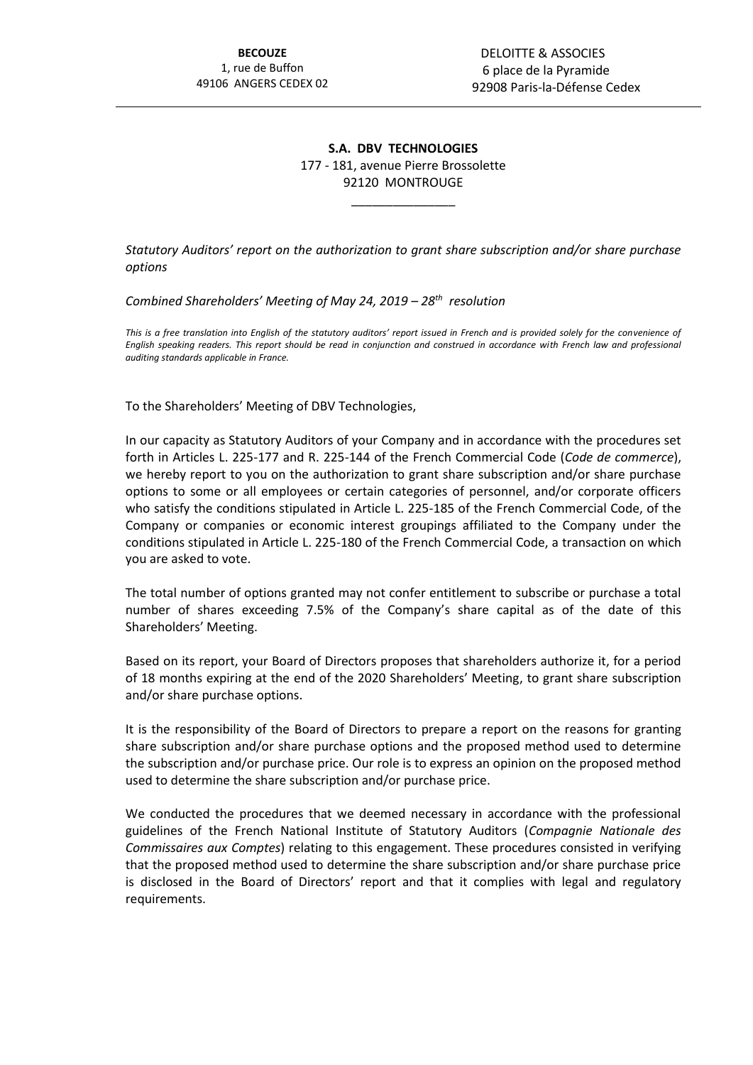## **S.A. DBV TECHNOLOGIES** 177 - 181, avenue Pierre Brossolette 92120 MONTROUGE

\_\_\_\_\_\_\_\_\_\_\_\_\_\_\_

*Statutory Auditors' report on the authorization to grant share subscription and/or share purchase options*

*Combined Shareholders' Meeting of May 24, 2019 – 28th resolution*

*This is a free translation into English of the statutory auditors' report issued in French and is provided solely for the convenience of English speaking readers. This report should be read in conjunction and construed in accordance with French law and professional auditing standards applicable in France.*

To the Shareholders' Meeting of DBV Technologies,

In our capacity as Statutory Auditors of your Company and in accordance with the procedures set forth in Articles L. 225-177 and R. 225-144 of the French Commercial Code (*Code de commerce*), we hereby report to you on the authorization to grant share subscription and/or share purchase options to some or all employees or certain categories of personnel, and/or corporate officers who satisfy the conditions stipulated in Article L. 225-185 of the French Commercial Code, of the Company or companies or economic interest groupings affiliated to the Company under the conditions stipulated in Article L. 225-180 of the French Commercial Code, a transaction on which you are asked to vote.

The total number of options granted may not confer entitlement to subscribe or purchase a total number of shares exceeding 7.5% of the Company's share capital as of the date of this Shareholders' Meeting.

Based on its report, your Board of Directors proposes that shareholders authorize it, for a period of 18 months expiring at the end of the 2020 Shareholders' Meeting, to grant share subscription and/or share purchase options.

It is the responsibility of the Board of Directors to prepare a report on the reasons for granting share subscription and/or share purchase options and the proposed method used to determine the subscription and/or purchase price. Our role is to express an opinion on the proposed method used to determine the share subscription and/or purchase price.

We conducted the procedures that we deemed necessary in accordance with the professional guidelines of the French National Institute of Statutory Auditors (*Compagnie Nationale des Commissaires aux Comptes*) relating to this engagement. These procedures consisted in verifying that the proposed method used to determine the share subscription and/or share purchase price is disclosed in the Board of Directors' report and that it complies with legal and regulatory requirements.